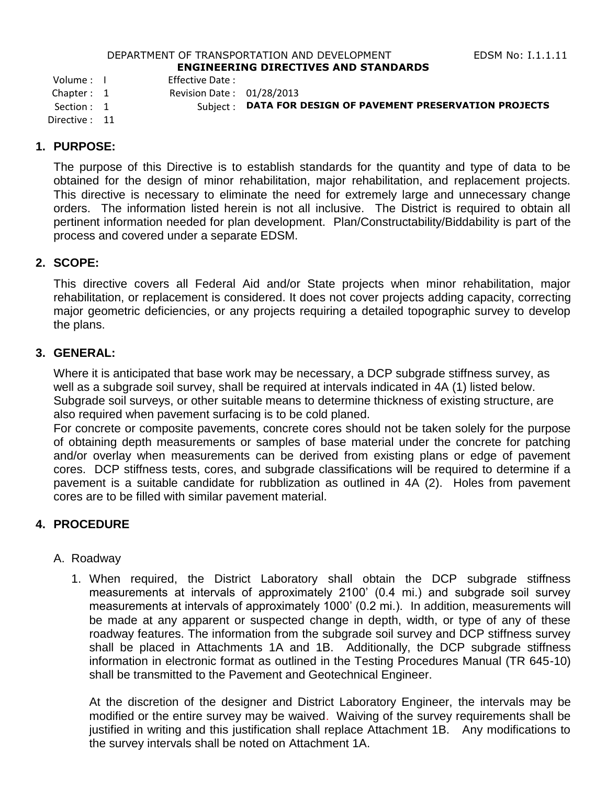#### DEPARTMENT OF TRANSPORTATION AND DEVELOPMENT FOR THE RESS RIGHT RESERVED TO THE LIGHT RESERVED TO THE RESERVED **ENGINEERING DIRECTIVES AND STANDARDS**

Volume : I Effective Date :

Chapter : 1 Revision Date : 01/28/2013

Section : 1 Subject : **DATA FOR DESIGN OF PAVEMENT PRESERVATION PROJECTS** 

Directive : 11

## **1. PURPOSE:**

The purpose of this Directive is to establish standards for the quantity and type of data to be obtained for the design of minor rehabilitation, major rehabilitation, and replacement projects. This directive is necessary to eliminate the need for extremely large and unnecessary change orders. The information listed herein is not all inclusive. The District is required to obtain all pertinent information needed for plan development. Plan/Constructability/Biddability is part of the process and covered under a separate EDSM.

## **2. SCOPE:**

This directive covers all Federal Aid and/or State projects when minor rehabilitation, major rehabilitation, or replacement is considered. It does not cover projects adding capacity, correcting major geometric deficiencies, or any projects requiring a detailed topographic survey to develop the plans.

## **3. GENERAL:**

Where it is anticipated that base work may be necessary, a DCP subgrade stiffness survey, as well as a subgrade soil survey, shall be required at intervals indicated in 4A (1) listed below. Subgrade soil surveys, or other suitable means to determine thickness of existing structure, are also required when pavement surfacing is to be cold planed.

For concrete or composite pavements, concrete cores should not be taken solely for the purpose of obtaining depth measurements or samples of base material under the concrete for patching and/or overlay when measurements can be derived from existing plans or edge of pavement cores. DCP stiffness tests, cores, and subgrade classifications will be required to determine if a pavement is a suitable candidate for rubblization as outlined in 4A (2). Holes from pavement cores are to be filled with similar pavement material.

# **4. PROCEDURE**

## A. Roadway

1. When required, the District Laboratory shall obtain the DCP subgrade stiffness measurements at intervals of approximately 2100' (0.4 mi.) and subgrade soil survey measurements at intervals of approximately 1000' (0.2 mi.). In addition, measurements will be made at any apparent or suspected change in depth, width, or type of any of these roadway features. The information from the subgrade soil survey and DCP stiffness survey shall be placed in Attachments 1A and 1B. Additionally, the DCP subgrade stiffness information in electronic format as outlined in the Testing Procedures Manual (TR 645-10) shall be transmitted to the Pavement and Geotechnical Engineer.

At the discretion of the designer and District Laboratory Engineer, the intervals may be modified or the entire survey may be waived. Waiving of the survey requirements shall be justified in writing and this justification shall replace Attachment 1B. Any modifications to the survey intervals shall be noted on Attachment 1A.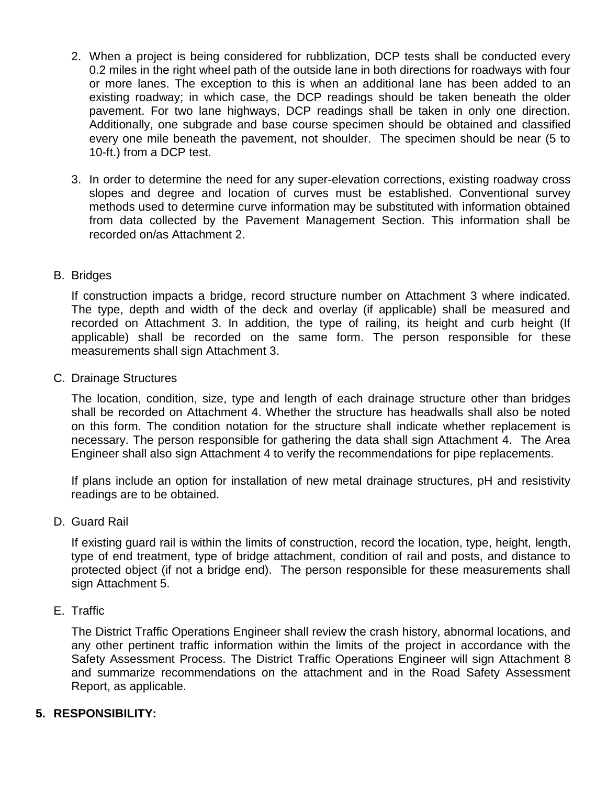- 2. When a project is being considered for rubblization, DCP tests shall be conducted every 0.2 miles in the right wheel path of the outside lane in both directions for roadways with four or more lanes. The exception to this is when an additional lane has been added to an existing roadway; in which case, the DCP readings should be taken beneath the older pavement. For two lane highways, DCP readings shall be taken in only one direction. Additionally, one subgrade and base course specimen should be obtained and classified every one mile beneath the pavement, not shoulder. The specimen should be near (5 to 10-ft.) from a DCP test.
- 3. In order to determine the need for any super-elevation corrections, existing roadway cross slopes and degree and location of curves must be established. Conventional survey methods used to determine curve information may be substituted with information obtained from data collected by the Pavement Management Section. This information shall be recorded on/as Attachment 2.

## B. Bridges

If construction impacts a bridge, record structure number on Attachment 3 where indicated. The type, depth and width of the deck and overlay (if applicable) shall be measured and recorded on Attachment 3. In addition, the type of railing, its height and curb height (If applicable) shall be recorded on the same form. The person responsible for these measurements shall sign Attachment 3.

C. Drainage Structures

The location, condition, size, type and length of each drainage structure other than bridges shall be recorded on Attachment 4. Whether the structure has headwalls shall also be noted on this form. The condition notation for the structure shall indicate whether replacement is necessary. The person responsible for gathering the data shall sign Attachment 4. The Area Engineer shall also sign Attachment 4 to verify the recommendations for pipe replacements.

If plans include an option for installation of new metal drainage structures, pH and resistivity readings are to be obtained.

D. Guard Rail

If existing guard rail is within the limits of construction, record the location, type, height, length, type of end treatment, type of bridge attachment, condition of rail and posts, and distance to protected object (if not a bridge end). The person responsible for these measurements shall sign Attachment 5.

E. Traffic

The District Traffic Operations Engineer shall review the crash history, abnormal locations, and any other pertinent traffic information within the limits of the project in accordance with the Safety Assessment Process. The District Traffic Operations Engineer will sign Attachment 8 and summarize recommendations on the attachment and in the Road Safety Assessment Report, as applicable.

# **5. RESPONSIBILITY:**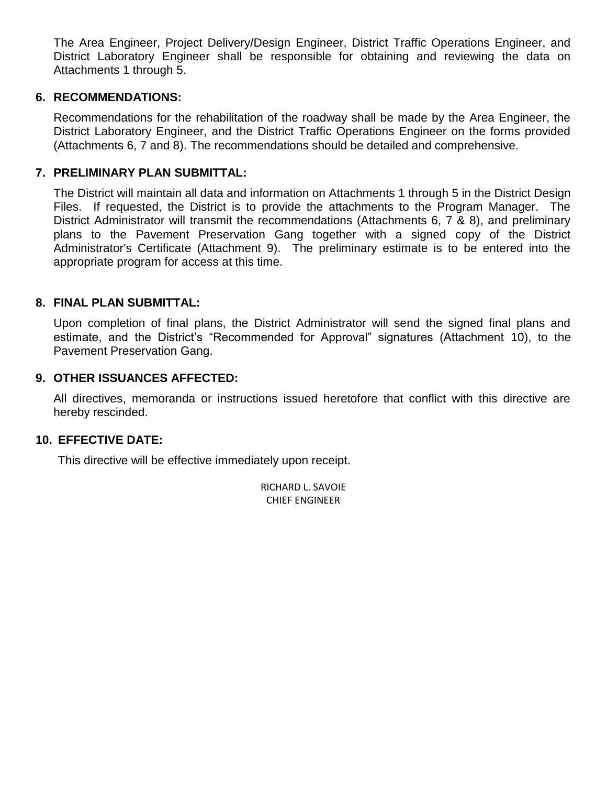The Area Engineer, Project Delivery/Design Engineer, District Traffic Operations Engineer, and District Laboratory Engineer shall be responsible for obtaining and reviewing the data on Attachments 1 through 5.

## **6. RECOMMENDATIONS:**

Recommendations for the rehabilitation of the roadway shall be made by the Area Engineer, the District Laboratory Engineer, and the District Traffic Operations Engineer on the forms provided (Attachments 6, 7 and 8). The recommendations should be detailed and comprehensive.

## **7. PRELIMINARY PLAN SUBMITTAL:**

The District will maintain all data and information on Attachments 1 through 5 in the District Design Files. If requested, the District is to provide the attachments to the Program Manager. The District Administrator will transmit the recommendations (Attachments 6, 7 & 8), and preliminary plans to the Pavement Preservation Gang together with a signed copy of the District Administrator's Certificate (Attachment 9). The preliminary estimate is to be entered into the appropriate program for access at this time.

## **8. FINAL PLAN SUBMITTAL:**

Upon completion of final plans, the District Administrator will send the signed final plans and estimate, and the District's "Recommended for Approval" signatures (Attachment 10), to the Pavement Preservation Gang.

## **9. OTHER ISSUANCES AFFECTED:**

All directives, memoranda or instructions issued heretofore that conflict with this directive are hereby rescinded.

## **10. EFFECTIVE DATE:**

This directive will be effective immediately upon receipt.

RICHARD L. SAVOIE CHIEF ENGINEER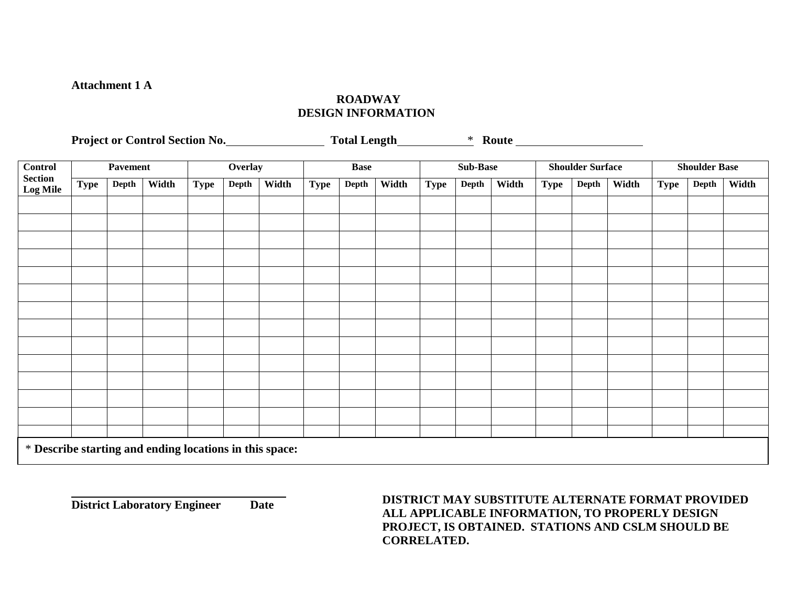#### **Attachment 1 A**

#### **ROADWAY DESIGN INFORMATION**

Project or Control Section No. Total Length **\*** Route **Route Route** 

| <b>Control</b>                                          |             | <b>Pavement</b> |       | Overlay     |       | <b>Base</b> |      | <b>Sub-Base</b> |       | <b>Shoulder Surface</b> |       | <b>Shoulder Base</b> |      |       |       |             |       |       |
|---------------------------------------------------------|-------------|-----------------|-------|-------------|-------|-------------|------|-----------------|-------|-------------------------|-------|----------------------|------|-------|-------|-------------|-------|-------|
| <b>Section</b><br>Log Mile                              | <b>Type</b> | Depth           | Width | <b>Type</b> | Depth | Width       | Type | Depth           | Width | <b>Type</b>             | Depth | Width                | Type | Depth | Width | <b>Type</b> | Depth | Width |
|                                                         |             |                 |       |             |       |             |      |                 |       |                         |       |                      |      |       |       |             |       |       |
|                                                         |             |                 |       |             |       |             |      |                 |       |                         |       |                      |      |       |       |             |       |       |
|                                                         |             |                 |       |             |       |             |      |                 |       |                         |       |                      |      |       |       |             |       |       |
|                                                         |             |                 |       |             |       |             |      |                 |       |                         |       |                      |      |       |       |             |       |       |
|                                                         |             |                 |       |             |       |             |      |                 |       |                         |       |                      |      |       |       |             |       |       |
|                                                         |             |                 |       |             |       |             |      |                 |       |                         |       |                      |      |       |       |             |       |       |
|                                                         |             |                 |       |             |       |             |      |                 |       |                         |       |                      |      |       |       |             |       |       |
|                                                         |             |                 |       |             |       |             |      |                 |       |                         |       |                      |      |       |       |             |       |       |
|                                                         |             |                 |       |             |       |             |      |                 |       |                         |       |                      |      |       |       |             |       |       |
|                                                         |             |                 |       |             |       |             |      |                 |       |                         |       |                      |      |       |       |             |       |       |
|                                                         |             |                 |       |             |       |             |      |                 |       |                         |       |                      |      |       |       |             |       |       |
|                                                         |             |                 |       |             |       |             |      |                 |       |                         |       |                      |      |       |       |             |       |       |
|                                                         |             |                 |       |             |       |             |      |                 |       |                         |       |                      |      |       |       |             |       |       |
|                                                         |             |                 |       |             |       |             |      |                 |       |                         |       |                      |      |       |       |             |       |       |
| * Describe starting and ending locations in this space: |             |                 |       |             |       |             |      |                 |       |                         |       |                      |      |       |       |             |       |       |

**District Laboratory Engineer Date**

**DISTRICT MAY SUBSTITUTE ALTERNATE FORMAT PROVIDED ALL APPLICABLE INFORMATION, TO PROPERLY DESIGN PROJECT, IS OBTAINED. STATIONS AND CSLM SHOULD BE CORRELATED.**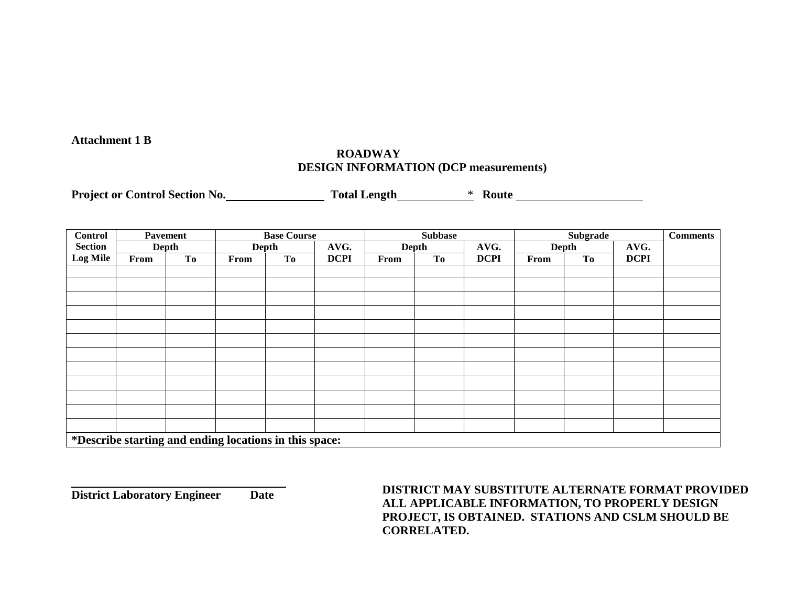#### **Attachment 1 B**

## **ROADWAY DESIGN INFORMATION (DCP measurements)**

**Project or Control Section No. Total Length**  $\qquad$  **\* Route** 

| <b>Control</b>                                         |      | Pavement  |      | <b>Base Course</b> |             |       | <b>Subbase</b> |             |       | <b>Comments</b> |             |  |
|--------------------------------------------------------|------|-----------|------|--------------------|-------------|-------|----------------|-------------|-------|-----------------|-------------|--|
| <b>Section</b>                                         |      | Depth     |      | <b>Depth</b>       | AVG.        | Depth |                | AVG.        | Depth |                 | AVG.        |  |
| <b>Log Mile</b>                                        | From | <b>To</b> | From | <b>To</b>          | <b>DCPI</b> | From  | To             | <b>DCPI</b> | From  | <b>To</b>       | <b>DCPI</b> |  |
|                                                        |      |           |      |                    |             |       |                |             |       |                 |             |  |
|                                                        |      |           |      |                    |             |       |                |             |       |                 |             |  |
|                                                        |      |           |      |                    |             |       |                |             |       |                 |             |  |
|                                                        |      |           |      |                    |             |       |                |             |       |                 |             |  |
|                                                        |      |           |      |                    |             |       |                |             |       |                 |             |  |
|                                                        |      |           |      |                    |             |       |                |             |       |                 |             |  |
|                                                        |      |           |      |                    |             |       |                |             |       |                 |             |  |
|                                                        |      |           |      |                    |             |       |                |             |       |                 |             |  |
|                                                        |      |           |      |                    |             |       |                |             |       |                 |             |  |
|                                                        |      |           |      |                    |             |       |                |             |       |                 |             |  |
|                                                        |      |           |      |                    |             |       |                |             |       |                 |             |  |
|                                                        |      |           |      |                    |             |       |                |             |       |                 |             |  |
| *Describe starting and ending locations in this space: |      |           |      |                    |             |       |                |             |       |                 |             |  |

**District Laboratory Engineer Date Date DISTRICT MAY SUBSTITUTE ALTERNATE FORMAT PROVIDED ALL APPLICABLE INFORMATION, TO PROPERLY DESIGN PROJECT, IS OBTAINED. STATIONS AND CSLM SHOULD BE CORRELATED.**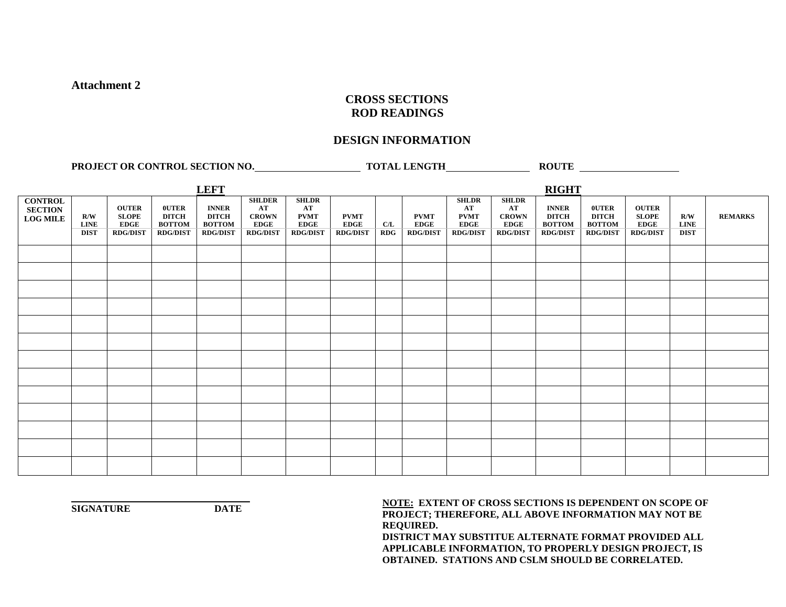#### **CROSS SECTIONS ROD READINGS**

#### **DESIGN INFORMATION**

**PROJECT OR CONTROL SECTION NO. TOTAL LENGTH ROUTE ROUTE** 

|                                                     |                                   |                                                                |                                                                  | <b>LEFT</b>                                                      |                                                                       |                                                                     |                                               |                     |                                               |                                                                     |                                                                      | <b>RIGHT</b>                                                     |                                                                  |                                                                |                                   |                |
|-----------------------------------------------------|-----------------------------------|----------------------------------------------------------------|------------------------------------------------------------------|------------------------------------------------------------------|-----------------------------------------------------------------------|---------------------------------------------------------------------|-----------------------------------------------|---------------------|-----------------------------------------------|---------------------------------------------------------------------|----------------------------------------------------------------------|------------------------------------------------------------------|------------------------------------------------------------------|----------------------------------------------------------------|-----------------------------------|----------------|
| <b>CONTROL</b><br><b>SECTION</b><br><b>LOG MILE</b> | R/W<br><b>LINE</b><br><b>DIST</b> | <b>OUTER</b><br><b>SLOPE</b><br><b>EDGE</b><br><b>RDG/DIST</b> | <b>OUTER</b><br><b>DITCH</b><br><b>BOTTOM</b><br><b>RDG/DIST</b> | <b>INNER</b><br><b>DITCH</b><br><b>BOTTOM</b><br><b>RDG/DIST</b> | <b>SHLDER</b><br>AT<br><b>CROWN</b><br><b>EDGE</b><br><b>RDG/DIST</b> | <b>SHLDR</b><br>AT<br><b>PVMT</b><br><b>EDGE</b><br><b>RDG/DIST</b> | <b>PVMT</b><br><b>EDGE</b><br><b>RDG/DIST</b> | C/L<br>$R\text{DG}$ | <b>PVMT</b><br><b>EDGE</b><br><b>RDG/DIST</b> | <b>SHLDR</b><br>AT<br><b>PVMT</b><br><b>EDGE</b><br><b>RDG/DIST</b> | <b>SHLDR</b><br>AT<br><b>CROWN</b><br><b>EDGE</b><br><b>RDG/DIST</b> | <b>INNER</b><br><b>DITCH</b><br><b>BOTTOM</b><br><b>RDG/DIST</b> | <b>OUTER</b><br><b>DITCH</b><br><b>BOTTOM</b><br><b>RDG/DIST</b> | <b>OUTER</b><br><b>SLOPE</b><br><b>EDGE</b><br><b>RDG/DIST</b> | R/W<br><b>LINE</b><br><b>DIST</b> | <b>REMARKS</b> |
|                                                     |                                   |                                                                |                                                                  |                                                                  |                                                                       |                                                                     |                                               |                     |                                               |                                                                     |                                                                      |                                                                  |                                                                  |                                                                |                                   |                |
|                                                     |                                   |                                                                |                                                                  |                                                                  |                                                                       |                                                                     |                                               |                     |                                               |                                                                     |                                                                      |                                                                  |                                                                  |                                                                |                                   |                |
|                                                     |                                   |                                                                |                                                                  |                                                                  |                                                                       |                                                                     |                                               |                     |                                               |                                                                     |                                                                      |                                                                  |                                                                  |                                                                |                                   |                |
|                                                     |                                   |                                                                |                                                                  |                                                                  |                                                                       |                                                                     |                                               |                     |                                               |                                                                     |                                                                      |                                                                  |                                                                  |                                                                |                                   |                |
|                                                     |                                   |                                                                |                                                                  |                                                                  |                                                                       |                                                                     |                                               |                     |                                               |                                                                     |                                                                      |                                                                  |                                                                  |                                                                |                                   |                |
|                                                     |                                   |                                                                |                                                                  |                                                                  |                                                                       |                                                                     |                                               |                     |                                               |                                                                     |                                                                      |                                                                  |                                                                  |                                                                |                                   |                |
|                                                     |                                   |                                                                |                                                                  |                                                                  |                                                                       |                                                                     |                                               |                     |                                               |                                                                     |                                                                      |                                                                  |                                                                  |                                                                |                                   |                |
|                                                     |                                   |                                                                |                                                                  |                                                                  |                                                                       |                                                                     |                                               |                     |                                               |                                                                     |                                                                      |                                                                  |                                                                  |                                                                |                                   |                |
|                                                     |                                   |                                                                |                                                                  |                                                                  |                                                                       |                                                                     |                                               |                     |                                               |                                                                     |                                                                      |                                                                  |                                                                  |                                                                |                                   |                |
|                                                     |                                   |                                                                |                                                                  |                                                                  |                                                                       |                                                                     |                                               |                     |                                               |                                                                     |                                                                      |                                                                  |                                                                  |                                                                |                                   |                |
|                                                     |                                   |                                                                |                                                                  |                                                                  |                                                                       |                                                                     |                                               |                     |                                               |                                                                     |                                                                      |                                                                  |                                                                  |                                                                |                                   |                |
|                                                     |                                   |                                                                |                                                                  |                                                                  |                                                                       |                                                                     |                                               |                     |                                               |                                                                     |                                                                      |                                                                  |                                                                  |                                                                |                                   |                |
|                                                     |                                   |                                                                |                                                                  |                                                                  |                                                                       |                                                                     |                                               |                     |                                               |                                                                     |                                                                      |                                                                  |                                                                  |                                                                |                                   |                |

**NOTE:** EXTENT OF CROSS SECTIONS IS DEPENDENT ON SCOPE OF  $\overline{P}$  **PROJECT; THEREFORE, ALL ABOVE INFORMATION MAY NOT BE REQUIRED.**

**DISTRICT MAY SUBSTITUE ALTERNATE FORMAT PROVIDED ALL APPLICABLE INFORMATION, TO PROPERLY DESIGN PROJECT, IS OBTAINED. STATIONS AND CSLM SHOULD BE CORRELATED.**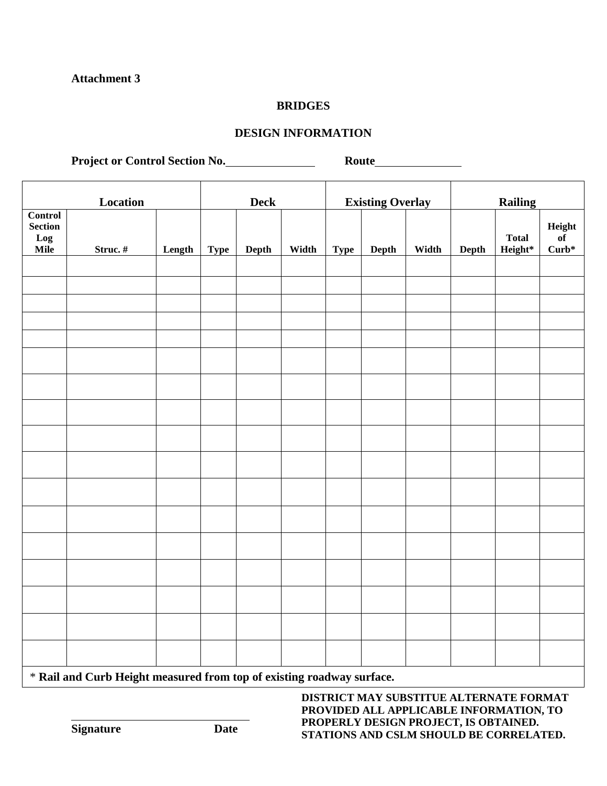#### **BRIDGES**

## **DESIGN INFORMATION**

**Project or Control Section No. Route**

|                                   | Location |        | $\mathbf{Deck}$ |       |       | <b>Existing Overlay</b> |       | <b>Railing</b> |       |                         |                       |
|-----------------------------------|----------|--------|-----------------|-------|-------|-------------------------|-------|----------------|-------|-------------------------|-----------------------|
| Control<br>Section<br>Log<br>Mile | Struc.#  | Length | <b>Type</b>     | Depth | Width | <b>Type</b>             | Depth | Width          | Depth | <b>Total</b><br>Height* | Height<br>of<br>Curb* |
|                                   |          |        |                 |       |       |                         |       |                |       |                         |                       |
|                                   |          |        |                 |       |       |                         |       |                |       |                         |                       |
|                                   |          |        |                 |       |       |                         |       |                |       |                         |                       |
|                                   |          |        |                 |       |       |                         |       |                |       |                         |                       |
|                                   |          |        |                 |       |       |                         |       |                |       |                         |                       |
|                                   |          |        |                 |       |       |                         |       |                |       |                         |                       |
|                                   |          |        |                 |       |       |                         |       |                |       |                         |                       |
|                                   |          |        |                 |       |       |                         |       |                |       |                         |                       |
|                                   |          |        |                 |       |       |                         |       |                |       |                         |                       |
|                                   |          |        |                 |       |       |                         |       |                |       |                         |                       |
|                                   |          |        |                 |       |       |                         |       |                |       |                         |                       |
|                                   |          |        |                 |       |       |                         |       |                |       |                         |                       |
|                                   |          |        |                 |       |       |                         |       |                |       |                         |                       |
|                                   |          |        |                 |       |       |                         |       |                |       |                         |                       |
|                                   |          |        |                 |       |       |                         |       |                |       |                         |                       |
|                                   |          |        |                 |       |       |                         |       |                |       |                         |                       |

\* **Rail and Curb Height measured from top of existing roadway surface.**

**DISTRICT MAY SUBSTITUE ALTERNATE FORMAT PROVIDED ALL APPLICABLE INFORMATION, TO PROPERLY DESIGN PROJECT, IS OBTAINED. STATIONS AND CSLM SHOULD BE CORRELATED.**

**Signature Date**

 $\overline{a}$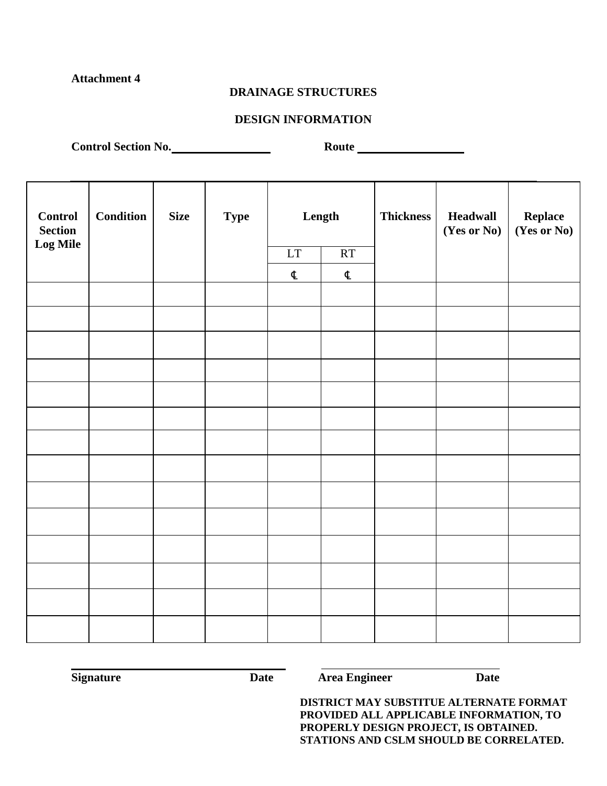#### **DRAINAGE STRUCTURES**

#### **DESIGN INFORMATION**

Control Section No. Now Route

| <b>Control</b><br><b>Section</b> | <b>Condition</b> | <b>Size</b> | <b>Type</b> |    | Length               | <b>Thickness</b> | <b>Headwall</b><br>(Yes or No) | <b>Replace<br/>(Yes or No)</b> |
|----------------------------------|------------------|-------------|-------------|----|----------------------|------------------|--------------------------------|--------------------------------|
| <b>Log Mile</b>                  |                  |             |             | LT | RT                   |                  |                                |                                |
|                                  |                  |             |             | ¢  | $\pmb{\mathfrak{C}}$ |                  |                                |                                |
|                                  |                  |             |             |    |                      |                  |                                |                                |
|                                  |                  |             |             |    |                      |                  |                                |                                |
|                                  |                  |             |             |    |                      |                  |                                |                                |
|                                  |                  |             |             |    |                      |                  |                                |                                |
|                                  |                  |             |             |    |                      |                  |                                |                                |
|                                  |                  |             |             |    |                      |                  |                                |                                |
|                                  |                  |             |             |    |                      |                  |                                |                                |
|                                  |                  |             |             |    |                      |                  |                                |                                |
|                                  |                  |             |             |    |                      |                  |                                |                                |
|                                  |                  |             |             |    |                      |                  |                                |                                |
|                                  |                  |             |             |    |                      |                  |                                |                                |
|                                  |                  |             |             |    |                      |                  |                                |                                |
|                                  |                  |             |             |    |                      |                  |                                |                                |
|                                  |                  |             |             |    |                      |                  |                                |                                |

**Signature Date Date Date Date Date Date** 

l,

**DISTRICT MAY SUBSTITUE ALTERNATE FORMAT PROVIDED ALL APPLICABLE INFORMATION, TO PROPERLY DESIGN PROJECT, IS OBTAINED. STATIONS AND CSLM SHOULD BE CORRELATED.**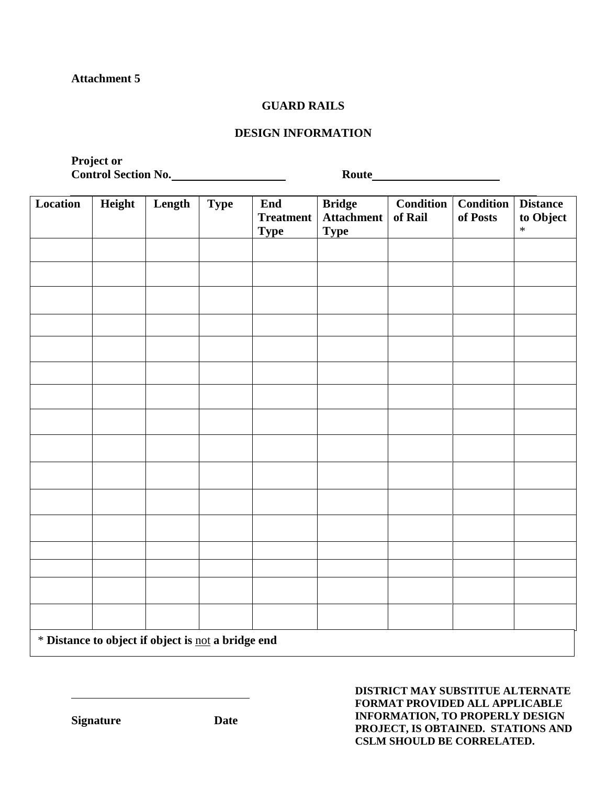#### **GUARD RAILS**

#### **DESIGN INFORMATION**

**Project or Control Section No. No. 2008 Route Route** 

| Location                                           | Height | Length | <b>Type</b> | End<br><b>Treatment</b><br><b>Type</b> | <b>Bridge</b><br><b>Attachment</b><br><b>Type</b> | <b>Condition</b><br>of Rail | <b>Condition</b><br>of Posts | <b>Distance</b><br>to Object<br>$\ast$ |
|----------------------------------------------------|--------|--------|-------------|----------------------------------------|---------------------------------------------------|-----------------------------|------------------------------|----------------------------------------|
|                                                    |        |        |             |                                        |                                                   |                             |                              |                                        |
|                                                    |        |        |             |                                        |                                                   |                             |                              |                                        |
|                                                    |        |        |             |                                        |                                                   |                             |                              |                                        |
|                                                    |        |        |             |                                        |                                                   |                             |                              |                                        |
|                                                    |        |        |             |                                        |                                                   |                             |                              |                                        |
|                                                    |        |        |             |                                        |                                                   |                             |                              |                                        |
|                                                    |        |        |             |                                        |                                                   |                             |                              |                                        |
|                                                    |        |        |             |                                        |                                                   |                             |                              |                                        |
|                                                    |        |        |             |                                        |                                                   |                             |                              |                                        |
|                                                    |        |        |             |                                        |                                                   |                             |                              |                                        |
|                                                    |        |        |             |                                        |                                                   |                             |                              |                                        |
|                                                    |        |        |             |                                        |                                                   |                             |                              |                                        |
|                                                    |        |        |             |                                        |                                                   |                             |                              |                                        |
|                                                    |        |        |             |                                        |                                                   |                             |                              |                                        |
|                                                    |        |        |             |                                        |                                                   |                             |                              |                                        |
|                                                    |        |        |             |                                        |                                                   |                             |                              |                                        |
| * Distance to object if object is not a bridge end |        |        |             |                                        |                                                   |                             |                              |                                        |

**DISTRICT MAY SUBSTITUE ALTERNATE FORMAT PROVIDED ALL APPLICABLE INFORMATION, TO PROPERLY DESIGN PROJECT, IS OBTAINED. STATIONS AND CSLM SHOULD BE CORRELATED.**

**Signature Date**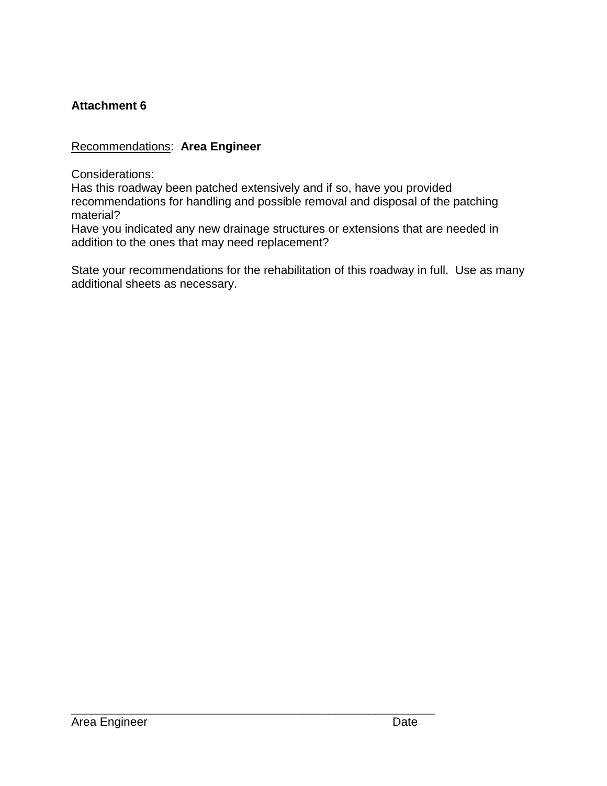# Recommendations: **Area Engineer**

Considerations:

Has this roadway been patched extensively and if so, have you provided recommendations for handling and possible removal and disposal of the patching material?

Have you indicated any new drainage structures or extensions that are needed in addition to the ones that may need replacement?

\_\_\_\_\_\_\_\_\_\_\_\_\_\_\_\_\_\_\_\_\_\_\_\_\_\_\_\_\_\_\_\_\_\_\_\_\_\_\_\_\_\_\_\_\_\_\_\_\_\_\_\_\_\_\_

State your recommendations for the rehabilitation of this roadway in full. Use as many additional sheets as necessary.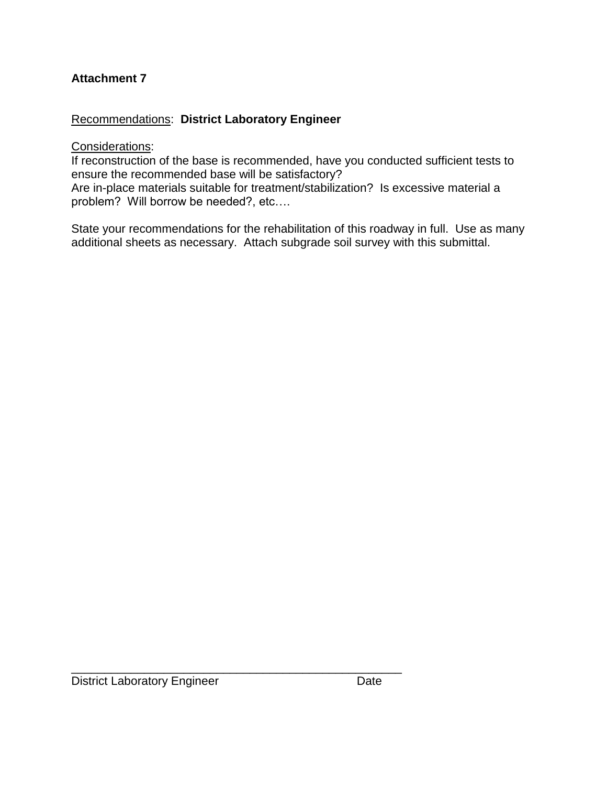# Recommendations: **District Laboratory Engineer**

## Considerations:

If reconstruction of the base is recommended, have you conducted sufficient tests to ensure the recommended base will be satisfactory?

Are in-place materials suitable for treatment/stabilization? Is excessive material a problem? Will borrow be needed?, etc….

State your recommendations for the rehabilitation of this roadway in full. Use as many additional sheets as necessary. Attach subgrade soil survey with this submittal.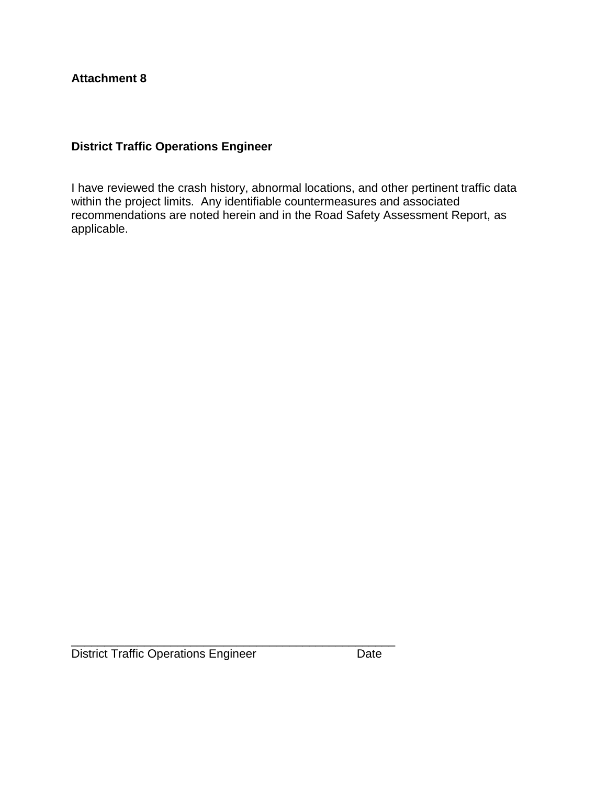# **District Traffic Operations Engineer**

I have reviewed the crash history, abnormal locations, and other pertinent traffic data within the project limits. Any identifiable countermeasures and associated recommendations are noted herein and in the Road Safety Assessment Report, as applicable.

\_\_\_\_\_\_\_\_\_\_\_\_\_\_\_\_\_\_\_\_\_\_\_\_\_\_\_\_\_\_\_\_\_\_\_\_\_\_\_\_\_\_\_\_\_\_\_\_\_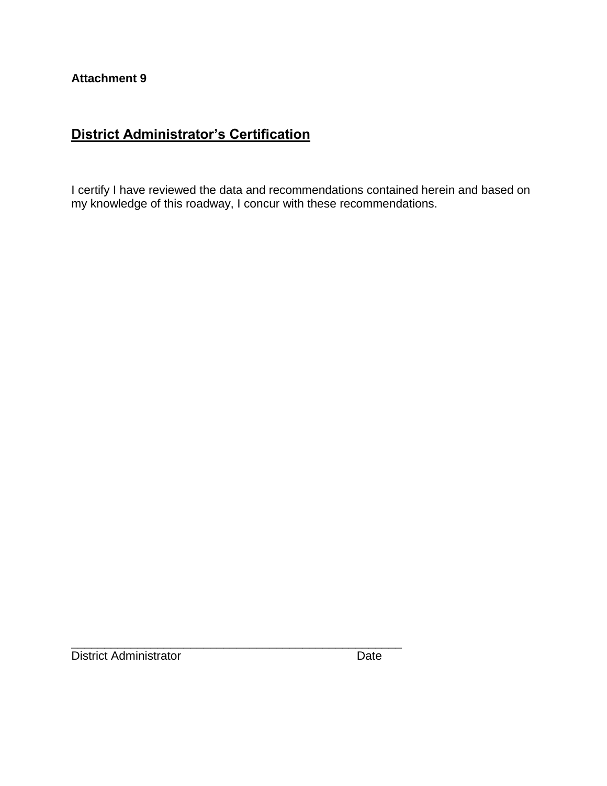# **District Administrator's Certification**

I certify I have reviewed the data and recommendations contained herein and based on my knowledge of this roadway, I concur with these recommendations.

\_\_\_\_\_\_\_\_\_\_\_\_\_\_\_\_\_\_\_\_\_\_\_\_\_\_\_\_\_\_\_\_\_\_\_\_\_\_\_\_\_\_\_\_\_\_\_\_\_\_